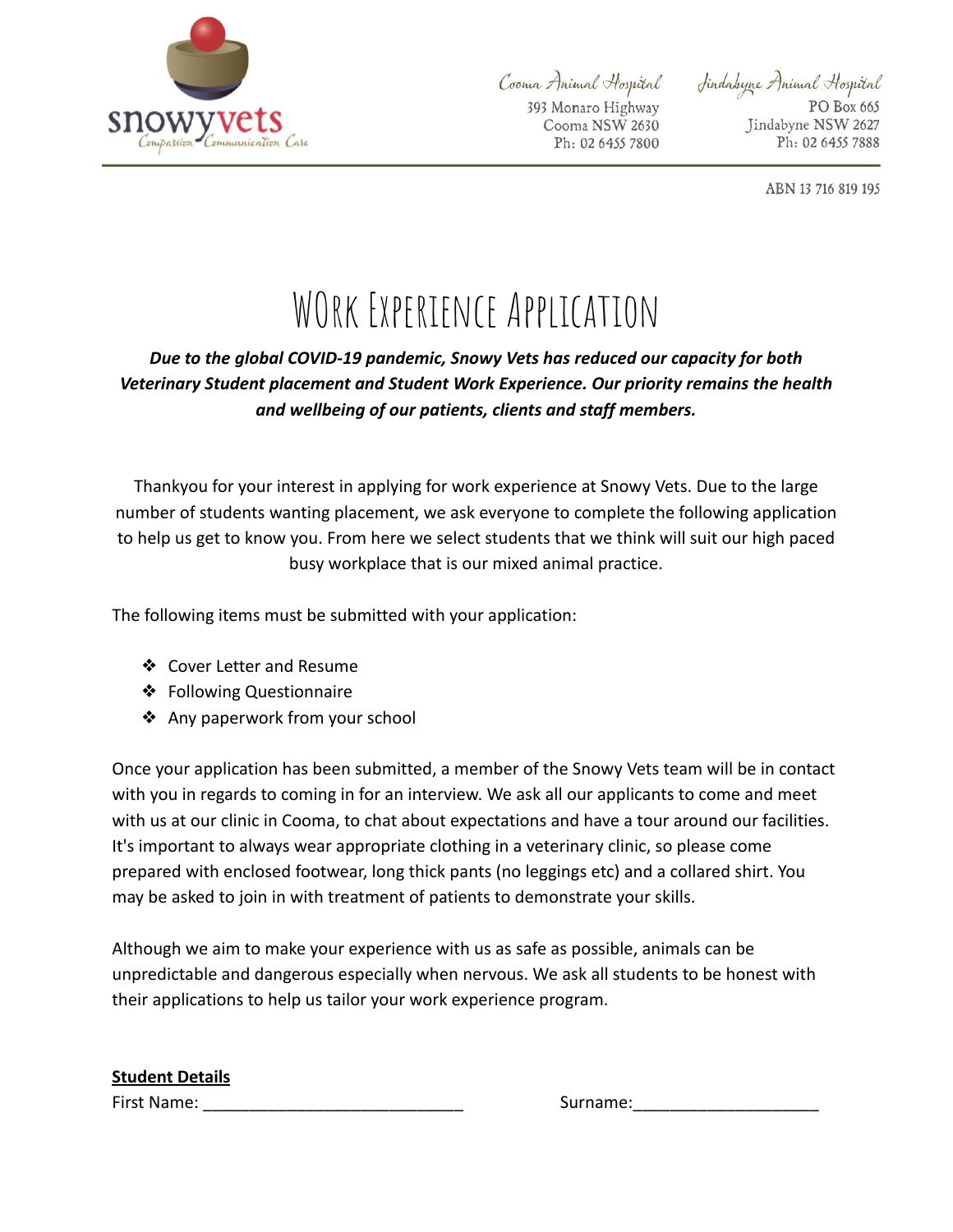

Cooma Animal Hospital 393 Monaro Highway Cooma NSW 2630 Ph: 02 6455 7800 Sindabyne Animal Hospital PO Box 665 Jindabyne NSW 2627 Ph: 02 6455 7888

ABN 13 716 819 195

## WORK EXPERIENCE APPLICATION

## *Due to the global COVID-19 pandemic, Snowy Vets has reduced our capacity for both Veterinary Student placement and Student Work Experience. Our priority remains the health and wellbeing of our patients, clients and staff members.*

Thankyou for your interest in applying for work experience at Snowy Vets. Due to the large number of students wanting placement, we ask everyone to complete the following application to help us get to know you. From here we select students that we think will suit our high paced busy workplace that is our mixed animal practice.

The following items must be submitted with your application:

- ❖ Cover Letter and Resume
- ❖ Following Questionnaire
- ❖ Any paperwork from your school

Once your application has been submitted, a member of the Snowy Vets team will be in contact with you in regards to coming in for an interview. We ask all our applicants to come and meet with us at our clinic in Cooma, to chat about expectations and have a tour around our facilities. It's important to always wear appropriate clothing in a veterinary clinic, so please come prepared with enclosed footwear, long thick pants (no leggings etc) and a collared shirt. You may be asked to join in with treatment of patients to demonstrate your skills.

Although we aim to make your experience with us as safe as possible, animals can be unpredictable and dangerous especially when nervous. We ask all students to be honest with their applications to help us tailor your work experience program.

## **Student Details**

First Name: <u>Decision of the surface</u> of the Surname:  $\sim$  Surname: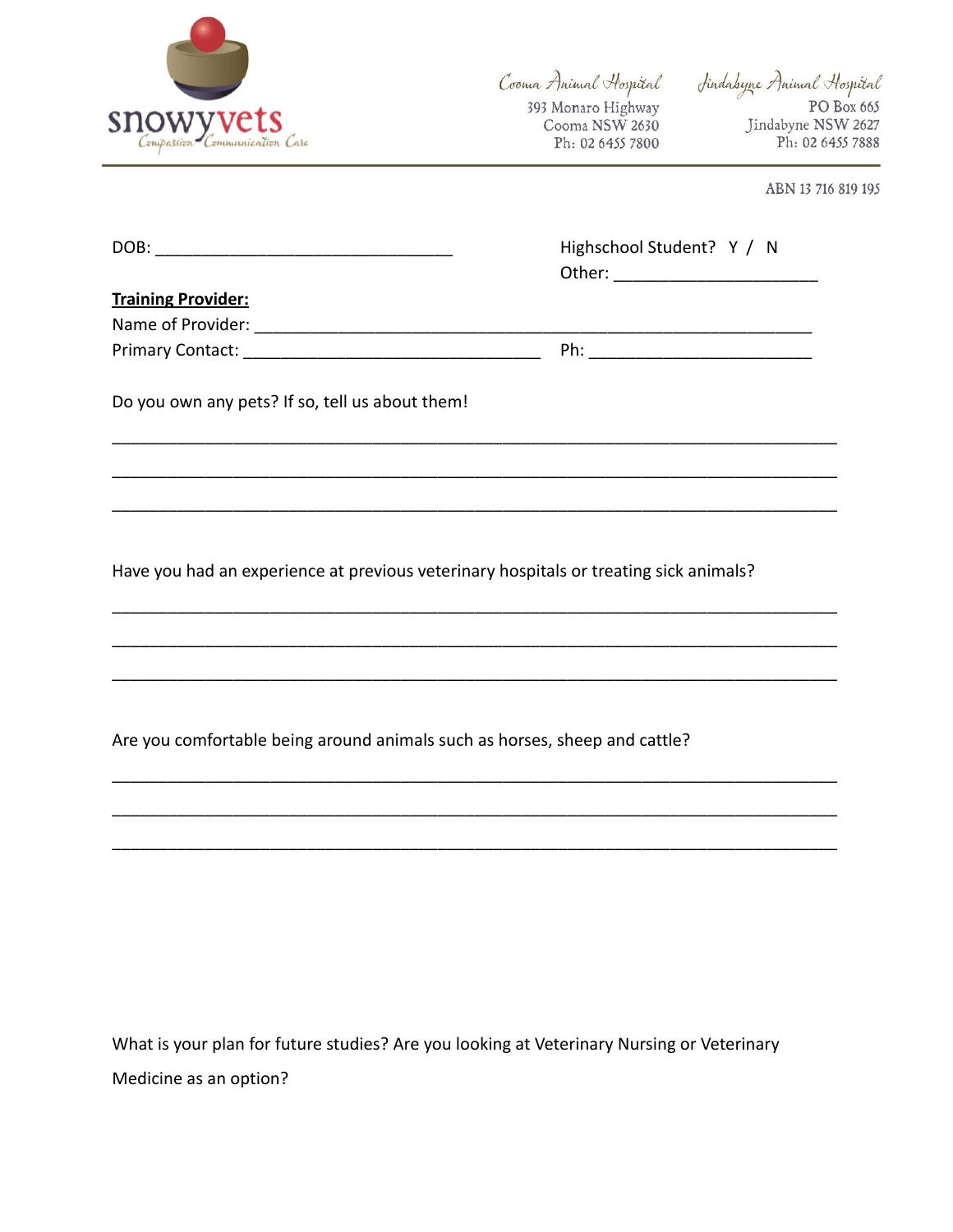

Cooma Animal Hospital 393 Monaro Highway Cooma NSW 2630 Ph: 02 6455 7800

Sindabyne Animal Hospital PO Box 665 Jindabyne NSW 2627 Ph: 02 6455 7888

ABN 13 716 819 195

|                                                                                       | Highschool Student? Y / N |
|---------------------------------------------------------------------------------------|---------------------------|
| <b>Training Provider:</b>                                                             |                           |
|                                                                                       |                           |
|                                                                                       |                           |
| Do you own any pets? If so, tell us about them!                                       |                           |
|                                                                                       |                           |
| Have you had an experience at previous veterinary hospitals or treating sick animals? |                           |
|                                                                                       |                           |
| Are you comfortable being around animals such as horses, sheep and cattle?            |                           |
|                                                                                       |                           |
|                                                                                       |                           |
|                                                                                       |                           |
|                                                                                       |                           |

What is your plan for future studies? Are you looking at Veterinary Nursing or Veterinary Medicine as an option?